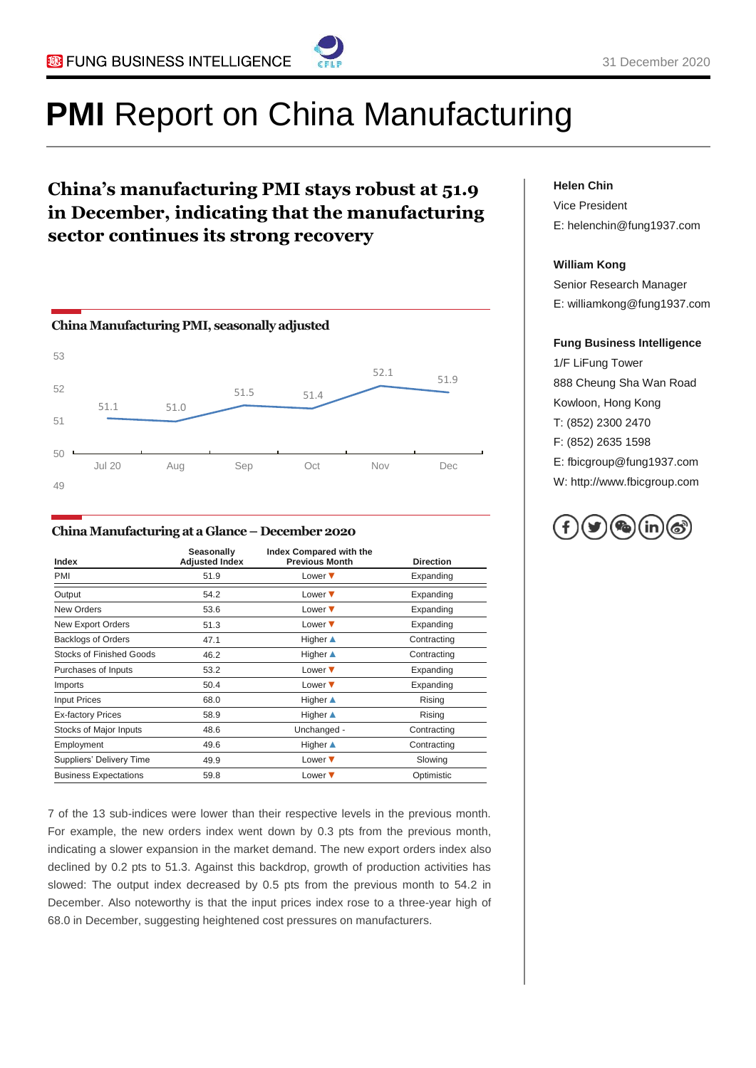

# **PMI** Report on China Manufacturing

### **China's manufacturing PMI stays robust at 51.9 in December, indicating that the manufacturing sector continues its strong recovery**



#### **China Manufacturing at a Glance – December2020**

| Index                           | Seasonally<br><b>Adjusted Index</b> | Index Compared with the<br><b>Previous Month</b> | <b>Direction</b> |
|---------------------------------|-------------------------------------|--------------------------------------------------|------------------|
| PMI                             | 51.9                                | Lower $\blacktriangledown$                       | Expanding        |
| Output                          | 54.2                                | Lower $\blacktriangledown$                       | Expanding        |
| <b>New Orders</b>               | 53.6                                | Lower $\blacktriangledown$                       | Expanding        |
| New Export Orders               | 51.3                                | Lower $\blacktriangledown$                       | Expanding        |
| <b>Backlogs of Orders</b>       | 47.1                                | Higher ▲                                         | Contracting      |
| Stocks of Finished Goods        | 46.2                                | <b>Higher</b> ▲                                  | Contracting      |
| Purchases of Inputs             | 53.2                                | Lower $\blacktriangledown$                       | Expanding        |
| Imports                         | 50.4                                | Lower $\blacktriangledown$                       | Expanding        |
| <b>Input Prices</b>             | 68.0                                | <b>Higher</b> ▲                                  | Rising           |
| <b>Ex-factory Prices</b>        | 58.9                                | Higher ▲                                         | Rising           |
| Stocks of Major Inputs          | 48.6                                | Unchanged -                                      | Contracting      |
| Employment                      | 49.6                                | Higher ▲                                         | Contracting      |
| <b>Suppliers' Delivery Time</b> | 49.9                                | Lower $\blacktriangledown$                       | Slowing          |
| <b>Business Expectations</b>    | 59.8                                | Lower $\blacktriangledown$                       | Optimistic       |

7 of the 13 sub-indices were lower than their respective levels in the previous month. For example, the new orders index went down by 0.3 pts from the previous month, indicating a slower expansion in the market demand. The new export orders index also declined by 0.2 pts to 51.3. Against this backdrop, growth of production activities has slowed: The output index decreased by 0.5 pts from the previous month to 54.2 in December. Also noteworthy is that the input prices index rose to a three-year high of 68.0 in December, suggesting heightened cost pressures on manufacturers.

#### **Helen Chin**

Vice President E: helenchin@fung1937.com

#### **William Kong**

Senior Research Manager E: williamkong@fung1937.com

#### **Fung Business Intelligence**

1/F LiFung Tower 888 Cheung Sha Wan Road Kowloon, Hong Kong T: (852) 2300 2470 F: (852) 2635 1598 E: fbicgroup@fung1937.com W: http://www.fbicgroup.com

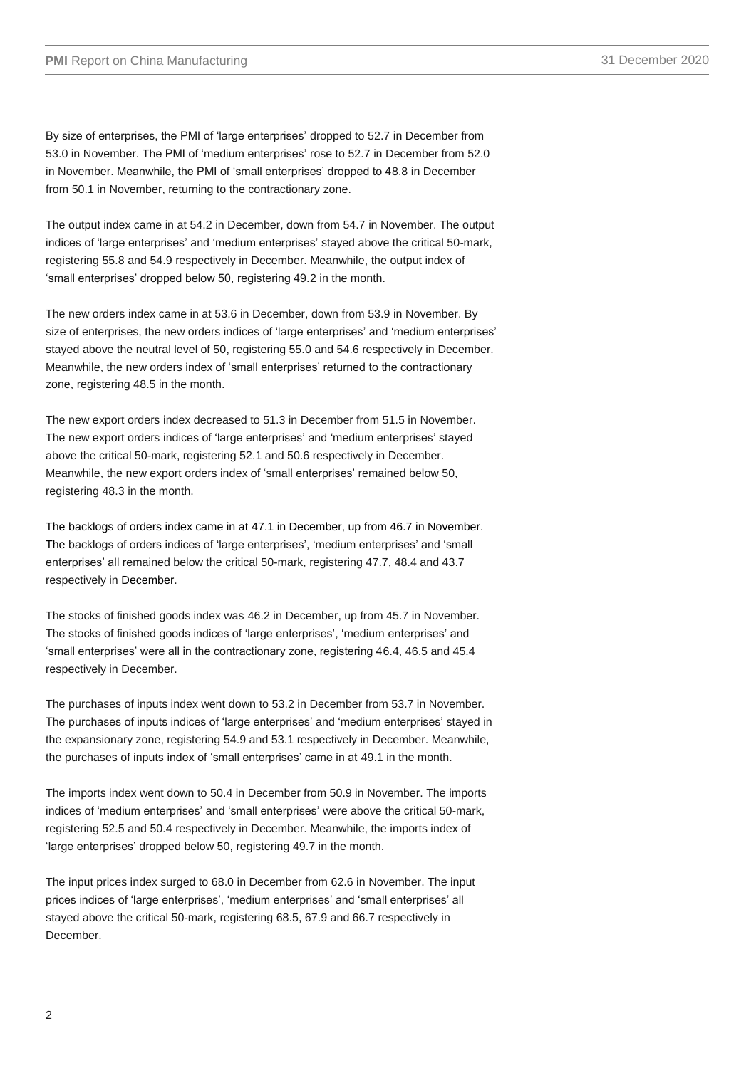By size of enterprises, the PMI of "large enterprises" dropped to 52.7 in December from 53.0 in November. The PMI of "medium enterprises" rose to 52.7 in December from 52.0 in November. Meanwhile, the PMI of 'small enterprises' dropped to 48.8 in December from 50.1 in November, returning to the contractionary zone.

The output index came in at 54.2 in December, down from 54.7 in November. The output indices of 'large enterprises' and 'medium enterprises' stayed above the critical 50-mark, registering 55.8 and 54.9 respectively in December. Meanwhile, the output index of "small enterprises" dropped below 50, registering 49.2 in the month.

The new orders index came in at 53.6 in December, down from 53.9 in November. By size of enterprises, the new orders indices of 'large enterprises' and 'medium enterprises' stayed above the neutral level of 50, registering 55.0 and 54.6 respectively in December. Meanwhile, the new orders index of "small enterprises" returned to the contractionary zone, registering 48.5 in the month.

The new export orders index decreased to 51.3 in December from 51.5 in November. The new export orders indices of "large enterprises" and "medium enterprises" stayed above the critical 50-mark, registering 52.1 and 50.6 respectively in December. Meanwhile, the new export orders index of "small enterprises" remained below 50, registering 48.3 in the month.

The backlogs of orders index came in at 47.1 in December, up from 46.7 in November. The backlogs of orders indices of "large enterprises", "medium enterprises" and "small enterprises' all remained below the critical 50-mark, registering 47.7, 48.4 and 43.7 respectively in December.

The stocks of finished goods index was 46.2 in December, up from 45.7 in November. The stocks of finished goods indices of "large enterprises", "medium enterprises" and "small enterprises" were all in the contractionary zone, registering 46.4, 46.5 and 45.4 respectively in December.

The purchases of inputs index went down to 53.2 in December from 53.7 in November. The purchases of inputs indices of "large enterprises" and "medium enterprises" stayed in the expansionary zone, registering 54.9 and 53.1 respectively in December. Meanwhile, the purchases of inputs index of "small enterprises" came in at 49.1 in the month.

The imports index went down to 50.4 in December from 50.9 in November. The imports indices of 'medium enterprises' and 'small enterprises' were above the critical 50-mark, registering 52.5 and 50.4 respectively in December. Meanwhile, the imports index of 'large enterprises' dropped below 50, registering 49.7 in the month.

The input prices index surged to 68.0 in December from 62.6 in November. The input prices indices of 'large enterprises', 'medium enterprises' and 'small enterprises' all stayed above the critical 50-mark, registering 68.5, 67.9 and 66.7 respectively in December.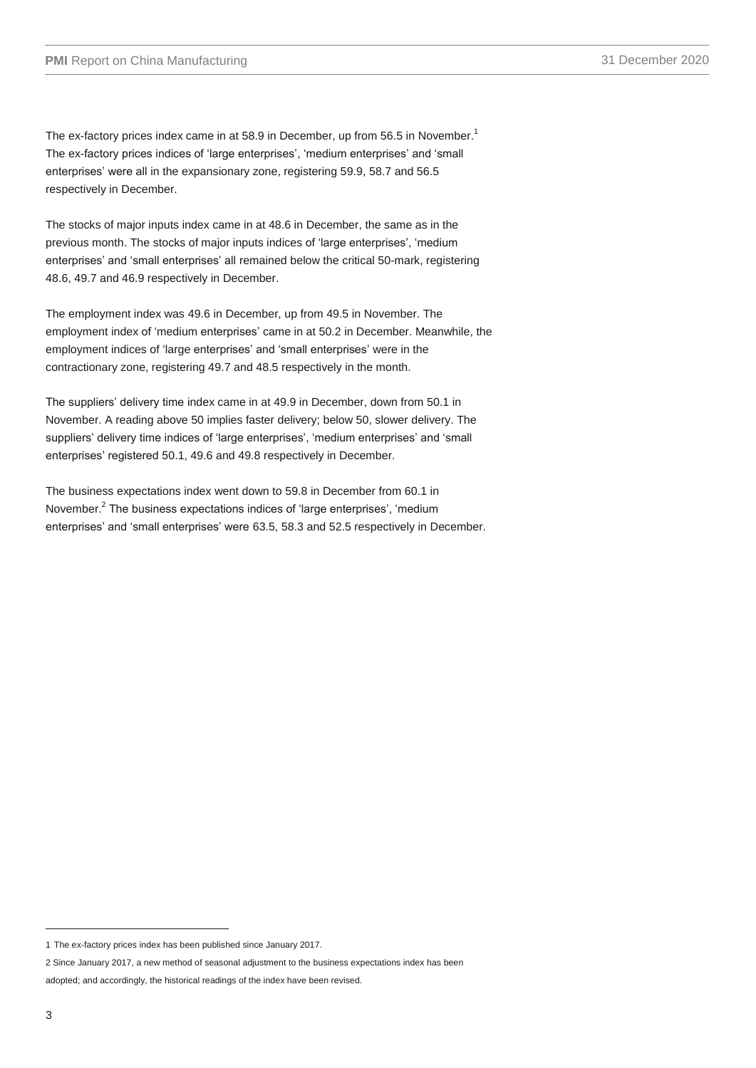The ex-factory prices index came in at 58.9 in December, up from 56.5 in November.<sup>1</sup> The ex-factory prices indices of 'large enterprises', 'medium enterprises' and 'small enterprises' were all in the expansionary zone, registering 59.9, 58.7 and 56.5 respectively in December.

The stocks of major inputs index came in at 48.6 in December, the same as in the previous month. The stocks of major inputs indices of "large enterprises", "medium enterprises' and 'small enterprises' all remained below the critical 50-mark, registering 48.6, 49.7 and 46.9 respectively in December.

The employment index was 49.6 in December, up from 49.5 in November. The employment index of "medium enterprises" came in at 50.2 in December. Meanwhile, the employment indices of 'large enterprises' and 'small enterprises' were in the contractionary zone, registering 49.7 and 48.5 respectively in the month.

The suppliers' delivery time index came in at 49.9 in December, down from 50.1 in November. A reading above 50 implies faster delivery; below 50, slower delivery. The suppliers' delivery time indices of 'large enterprises', 'medium enterprises' and 'small enterprises' registered 50.1, 49.6 and 49.8 respectively in December.

The business expectations index went down to 59.8 in December from 60.1 in November.<sup>2</sup> The business expectations indices of 'large enterprises', 'medium enterprises' and 'small enterprises' were 63.5, 58.3 and 52.5 respectively in December.

-

<sup>1</sup> The ex-factory prices index has been published since January 2017.

<sup>2</sup> Since January 2017, a new method of seasonal adjustment to the business expectations index has been

adopted; and accordingly, the historical readings of the index have been revised.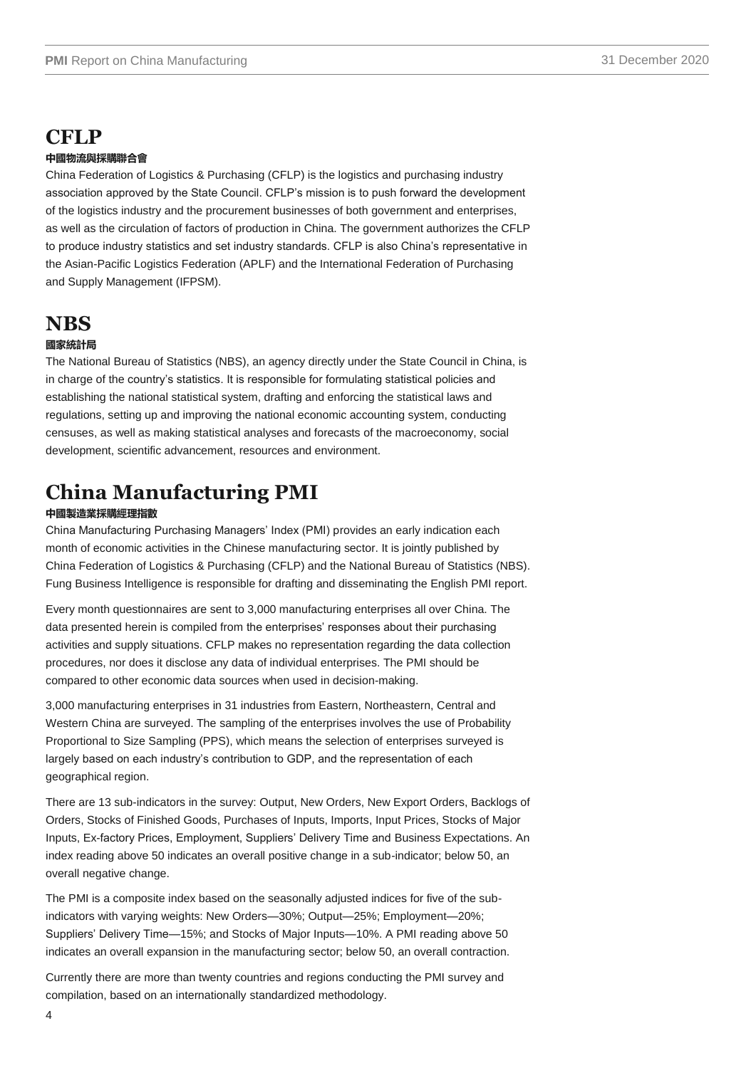## **CFLP**

#### **中國物流與採購聯合會**

China Federation of Logistics & Purchasing (CFLP) is the logistics and purchasing industry association approved by the State Council. CFLP"s mission is to push forward the development of the logistics industry and the procurement businesses of both government and enterprises, as well as the circulation of factors of production in China. The government authorizes the CFLP to produce industry statistics and set industry standards. CFLP is also China"s representative in the Asian-Pacific Logistics Federation (APLF) and the International Federation of Purchasing and Supply Management (IFPSM).

### **NBS**

#### **國家統計局**

The National Bureau of Statistics (NBS), an agency directly under the State Council in China, is in charge of the country"s statistics. It is responsible for formulating statistical policies and establishing the national statistical system, drafting and enforcing the statistical laws and regulations, setting up and improving the national economic accounting system, conducting censuses, as well as making statistical analyses and forecasts of the macroeconomy, social development, scientific advancement, resources and environment.

# **China Manufacturing PMI**

#### **中國製造業採購經理指數**

China Manufacturing Purchasing Managers" Index (PMI) provides an early indication each month of economic activities in the Chinese manufacturing sector. It is jointly published by China Federation of Logistics & Purchasing (CFLP) and the National Bureau of Statistics (NBS). Fung Business Intelligence is responsible for drafting and disseminating the English PMI report.

Every month questionnaires are sent to 3,000 manufacturing enterprises all over China. The data presented herein is compiled from the enterprises' responses about their purchasing activities and supply situations. CFLP makes no representation regarding the data collection procedures, nor does it disclose any data of individual enterprises. The PMI should be compared to other economic data sources when used in decision-making.

3,000 manufacturing enterprises in 31 industries from Eastern, Northeastern, Central and Western China are surveyed. The sampling of the enterprises involves the use of Probability Proportional to Size Sampling (PPS), which means the selection of enterprises surveyed is largely based on each industry"s contribution to GDP, and the representation of each geographical region.

There are 13 sub-indicators in the survey: Output, New Orders, New Export Orders, Backlogs of Orders, Stocks of Finished Goods, Purchases of Inputs, Imports, Input Prices, Stocks of Major Inputs, Ex-factory Prices, Employment, Suppliers" Delivery Time and Business Expectations. An index reading above 50 indicates an overall positive change in a sub-indicator; below 50, an overall negative change.

The PMI is a composite index based on the seasonally adjusted indices for five of the subindicators with varying weights: New Orders—30%; Output—25%; Employment—20%; Suppliers" Delivery Time—15%; and Stocks of Major Inputs—10%. A PMI reading above 50 indicates an overall expansion in the manufacturing sector; below 50, an overall contraction.

Currently there are more than twenty countries and regions conducting the PMI survey and compilation, based on an internationally standardized methodology.